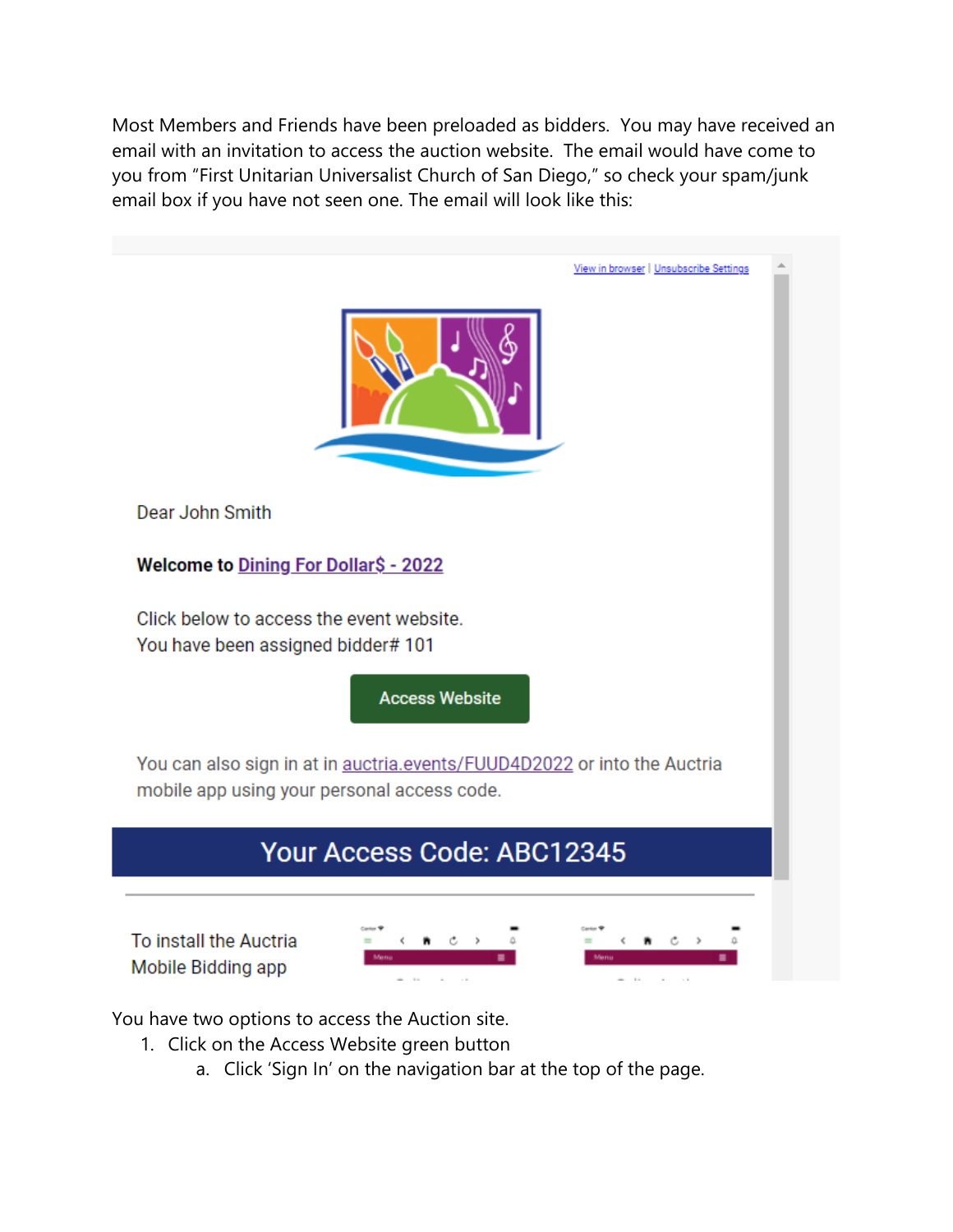Most Members and Friends have been preloaded as bidders. You may have received an email with an invitation to access the auction website. The email would have come to you from "First Unitarian Universalist Church of San Diego," so check your spam/junk email box if you have not seen one. The email will look like this:



You have two options to access the Auction site.

- 1. Click on the Access Website green button
	- a. Click 'Sign In' on the navigation bar at the top of the page.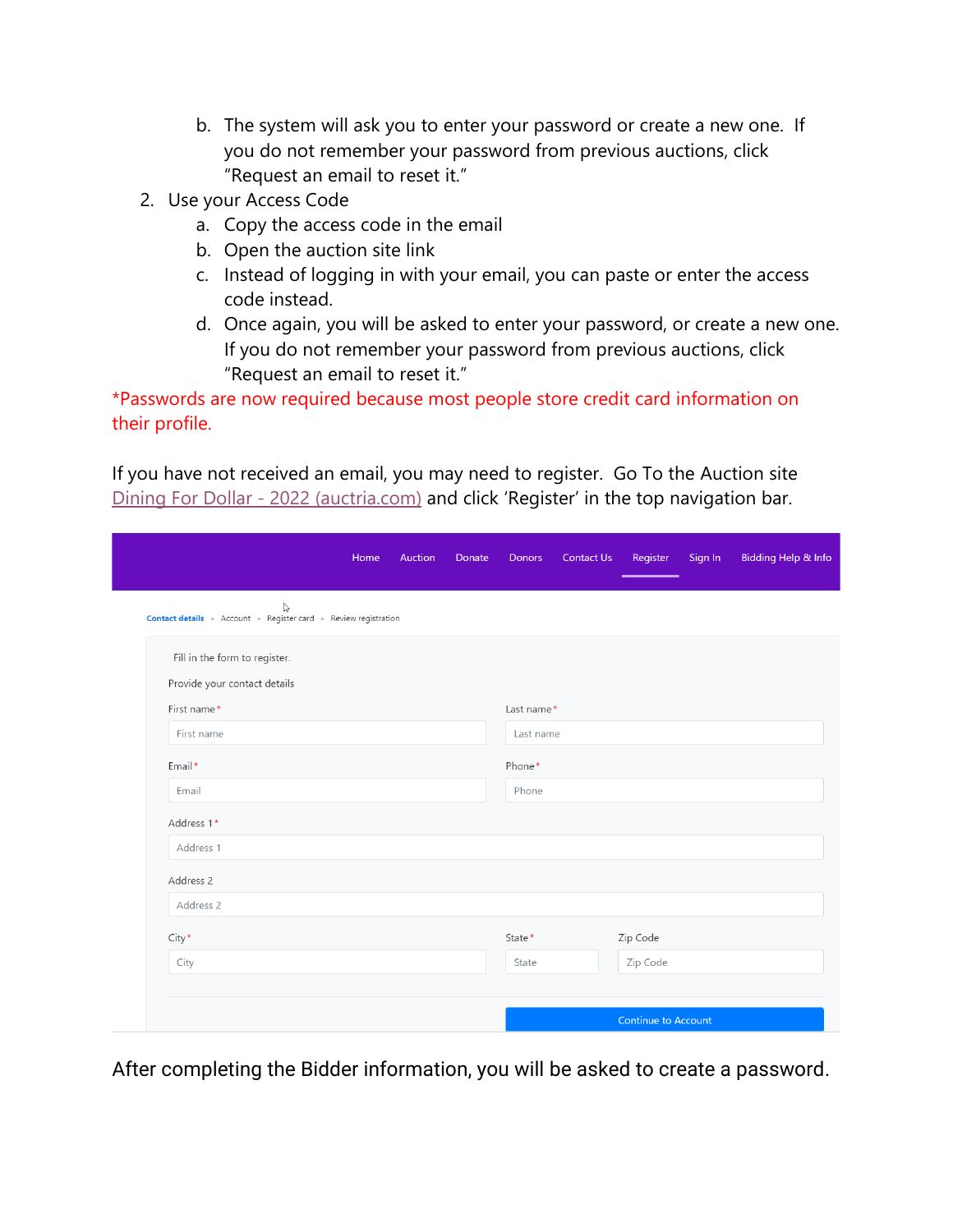- b. The system will ask you to enter your password or create a new one. If you do not remember your password from previous auctions, click "Request an email to reset it."
- 2. Use your Access Code
	- a. Copy the access code in the email
	- b. Open the auction site link
	- c. Instead of logging in with your email, you can paste or enter the access code instead.
	- d. Once again, you will be asked to enter your password, or create a new one. If you do not remember your password from previous auctions, click "Request an email to reset it."

\*Passwords are now required because most people store credit card information on their profile.

If you have not received an email, you may need to register. Go To the Auction site [Dining For Dollar -](https://event.auctria.com/dd12bf6b-f2c3-421e-b96e-2545f16af294/aa6cd270-8751-11e9-a741-3fcfcb35cbb0) 2022 (auctria.com) and click 'Register' in the top navigation bar.

| Home                                                                                           | Auction<br>Donate | Donors     | Contact Us | Register                   | Sign In | <b>Bidding Help &amp; Info</b> |
|------------------------------------------------------------------------------------------------|-------------------|------------|------------|----------------------------|---------|--------------------------------|
| $\bigotimes_{\text{Constant}}$ Contact details » Account » Register card » Review registration |                   |            |            |                            |         |                                |
| Fill in the form to register.                                                                  |                   |            |            |                            |         |                                |
| Provide your contact details                                                                   |                   |            |            |                            |         |                                |
| First name*                                                                                    |                   | Last name* |            |                            |         |                                |
| First name                                                                                     |                   | Last name  |            |                            |         |                                |
| Email*                                                                                         |                   | Phone*     |            |                            |         |                                |
| Email                                                                                          |                   | Phone      |            |                            |         |                                |
| Address 1*                                                                                     |                   |            |            |                            |         |                                |
| Address 1                                                                                      |                   |            |            |                            |         |                                |
| Address 2                                                                                      |                   |            |            |                            |         |                                |
| Address 2                                                                                      |                   |            |            |                            |         |                                |
| $City*$                                                                                        |                   | State*     |            | Zip Code                   |         |                                |
| City                                                                                           |                   | State      |            | Zip Code                   |         |                                |
|                                                                                                |                   |            |            |                            |         |                                |
|                                                                                                |                   |            |            | <b>Continue to Account</b> |         |                                |

After completing the Bidder information, you will be asked to create a password.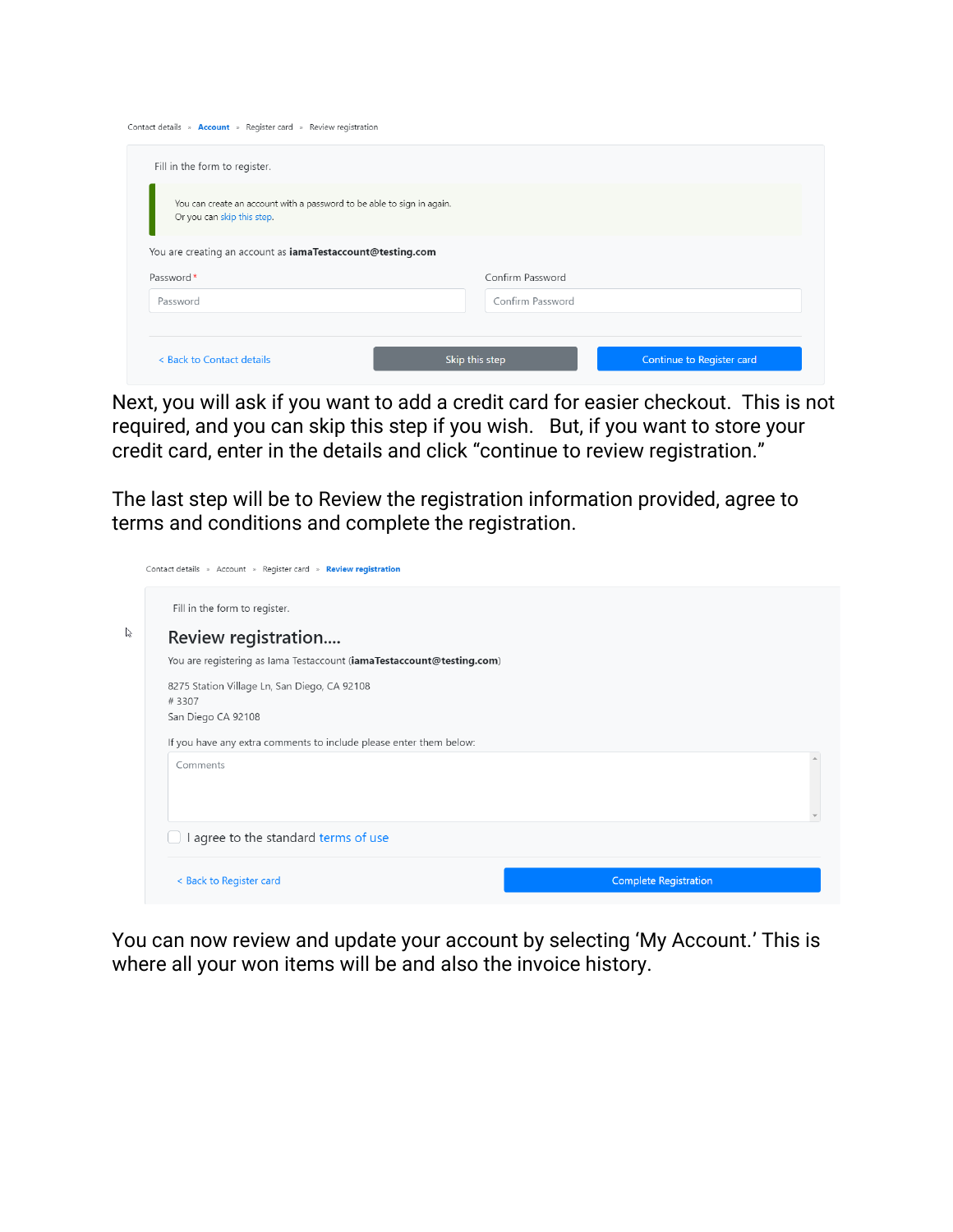| Contact details » Account » Register card » Review registration                                      |                  |                           |
|------------------------------------------------------------------------------------------------------|------------------|---------------------------|
| Fill in the form to register.                                                                        |                  |                           |
| You can create an account with a password to be able to sign in again.<br>Or you can skip this step. |                  |                           |
| You are creating an account as iamaTestaccount@testing.com                                           |                  |                           |
| Password*                                                                                            | Confirm Password |                           |
| Password                                                                                             | Confirm Password |                           |
| < Back to Contact details                                                                            | Skip this step   | Continue to Register card |

Next, you will ask if you want to add a credit card for easier checkout. This is not required, and you can skip this step if you wish. But, if you want to store your credit card, enter in the details and click "continue to review registration."

The last step will be to Review the registration information provided, agree to terms and conditions and complete the registration.

| Contact details » Account » Register card » Review registration       |  |
|-----------------------------------------------------------------------|--|
| Fill in the form to register.                                         |  |
| Review registration                                                   |  |
| You are registering as lama Testaccount (iamaTestaccount@testing.com) |  |
| 8275 Station Village Ln, San Diego, CA 92108<br>#3307                 |  |
| San Diego CA 92108                                                    |  |
| If you have any extra comments to include please enter them below:    |  |
| Comments                                                              |  |
|                                                                       |  |
|                                                                       |  |
| I agree to the standard terms of use                                  |  |
|                                                                       |  |
| <b>Complete Registration</b><br>< Back to Register card               |  |
|                                                                       |  |

You can now review and update your account by selecting 'My Account.' This is where all your won items will be and also the invoice history.